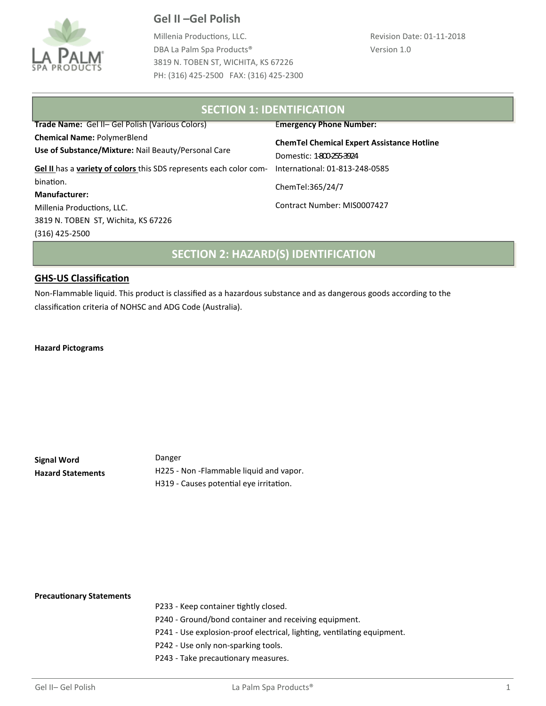

Millenia Productions, LLC. DBA La Palm Spa Products® 3819 N. TOBEN ST, WICHITA, KS 67226 PH: (316) 425-2500 FAX: (316) 425-2300

#### **SECTION 1: IDENTIFICATION**  International: 01-813-248-0585 **Trade Name:** Gel II– Gel Polish (Various Colors) **Chemical Name:** PolymerBlend **Use of Substance/Mixture:** Nail Beauty/Personal Care **Gel II** has a **variety of colors** this SDS represents each color combination. **Manufacturer:**  Millenia Productions, LLC. 3819 N. TOBEN ST, Wichita, KS 67226 (316) 425-2500 E**mergency Phone Number: ChemTel Chemical Expert Assistance Hotline**  Domestic: 1-800-255-3924 ChemTel:365/24/7 Contract Number: MIS0007427 **SECTION 2: HAZARD(S) IDENTIFICATION**

### **GHS-US Classification**

Non-Flammable liquid. This product is classified as a hazardous substance and as dangerous goods according to the classification criteria of NOHSC and ADG Code (Australia).

**Hazard Pictograms**

| Signal Word              | Danger                                   |
|--------------------------|------------------------------------------|
| <b>Hazard Statements</b> | H225 - Non - Flammable liquid and vapor. |
|                          | H319 - Causes potential eye irritation.  |

#### **Precautionary Statements**

- P233 Keep container tightly closed.
- P240 Ground/bond container and receiving equipment.
- P241 Use explosion-proof electrical, lighting, ventilating equipment.
- P242 Use only non-sparking tools.
- P243 Take precautionary measures.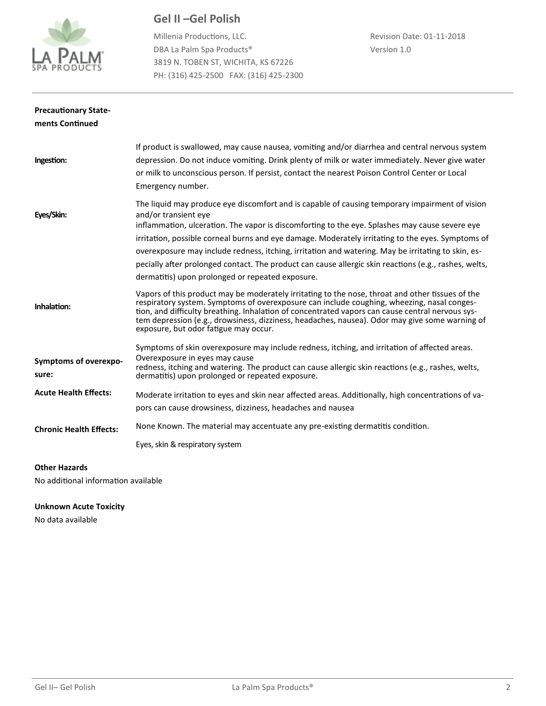

Millenia Productions, LLC. DBA La Palm Spa Products® 3819 N. TOBEN ST, WICHITA, KS 67226 PH: (316) 425-2500 FAX: (316) 425-2300

| <b>Precautionary State-</b>    |                                                                                                                                                                                                                                                                                                                                                                                                                                                                                                                                                                                                  |
|--------------------------------|--------------------------------------------------------------------------------------------------------------------------------------------------------------------------------------------------------------------------------------------------------------------------------------------------------------------------------------------------------------------------------------------------------------------------------------------------------------------------------------------------------------------------------------------------------------------------------------------------|
| ments Continued                |                                                                                                                                                                                                                                                                                                                                                                                                                                                                                                                                                                                                  |
| Ingestion:                     | If product is swallowed, may cause nausea, vomiting and/or diarrhea and central nervous system<br>depression. Do not induce vomiting. Drink plenty of milk or water immediately. Never give water<br>or milk to unconscious person. If persist, contact the nearest Poison Control Center or Local<br>Emergency number.                                                                                                                                                                                                                                                                          |
| Eyes/Skin:                     | The liquid may produce eye discomfort and is capable of causing temporary impairment of vision<br>and/or transient eye<br>inflammation, ulceration. The vapor is discomforting to the eye. Splashes may cause severe eye<br>irritation, possible corneal burns and eye damage. Moderately irritating to the eyes. Symptoms of<br>overexposure may include redness, itching, irritation and watering. May be irritating to skin, es-<br>pecially after prolonged contact. The product can cause allergic skin reactions (e.g., rashes, welts,<br>dermatitis) upon prolonged or repeated exposure. |
| Inhalation:                    | Vapors of this product may be moderately irritating to the nose, throat and other tissues of the<br>respiratory system. Symptoms of overexposure can include coughing, wheezing, nasal conges-<br>tion, and difficulty breathing. Inhalation of concentrated vapors can cause central nervous sys-<br>tem depression (e.g., drowsiness, dizziness, headaches, nausea). Odor may give some warning of<br>exposure, but odor fatigue may occur.                                                                                                                                                    |
| Symptoms of overexpo-<br>sure: | Symptoms of skin overexposure may include redness, itching, and irritation of affected areas.<br>Overexposure in eyes may cause<br>redness, itching and watering. The product can cause allergic skin reactions (e.g., rashes, welts,<br>dermatitis) upon prolonged or repeated exposure.                                                                                                                                                                                                                                                                                                        |
| <b>Acute Health Effects:</b>   | Moderate irritation to eyes and skin near affected areas. Additionally, high concentrations of va-<br>pors can cause drowsiness, dizziness, headaches and nausea                                                                                                                                                                                                                                                                                                                                                                                                                                 |
| <b>Chronic Health Effects:</b> | None Known. The material may accentuate any pre-existing dermatitis condition.<br>Eyes, skin & respiratory system                                                                                                                                                                                                                                                                                                                                                                                                                                                                                |

### **Other Hazards**

No additional information available

### **Unknown Acute Toxicity**

No data available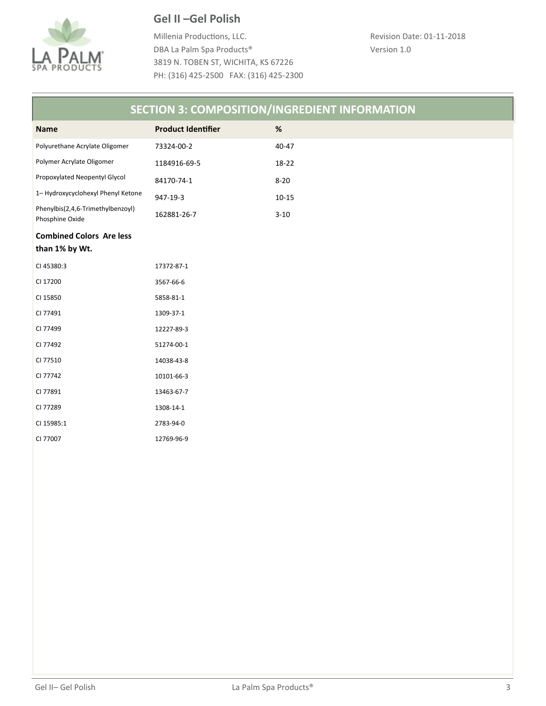

Millenia Productions, LLC. DBA La Palm Spa Products® 3819 N. TOBEN ST, WICHITA, KS 67226 PH: (316) 425-2500 FAX: (316) 425-2300

| <b>SECTION 3: COMPOSITION/INGREDIENT INFORMATION</b> |                           |           |  |  |
|------------------------------------------------------|---------------------------|-----------|--|--|
| <b>Name</b>                                          | <b>Product Identifier</b> | $\%$      |  |  |
| Polyurethane Acrylate Oligomer                       | 73324-00-2                | 40-47     |  |  |
| Polymer Acrylate Oligomer                            | 1184916-69-5              | 18-22     |  |  |
| Propoxylated Neopentyl Glycol                        | 84170-74-1                | $8 - 20$  |  |  |
| 1- Hydroxycyclohexyl Phenyl Ketone                   | 947-19-3                  | $10 - 15$ |  |  |
| Phenylbis(2,4,6-Trimethylbenzoyl)<br>Phosphine Oxide | 162881-26-7               | $3 - 10$  |  |  |
| <b>Combined Colors Are less</b>                      |                           |           |  |  |
| than 1% by Wt.                                       |                           |           |  |  |
| CI 45380:3                                           | 17372-87-1                |           |  |  |
| CI 17200                                             | 3567-66-6                 |           |  |  |
| CI 15850                                             | 5858-81-1                 |           |  |  |
| CI 77491                                             | 1309-37-1                 |           |  |  |
| CI 77499                                             | 12227-89-3                |           |  |  |
| CI 77492                                             | 51274-00-1                |           |  |  |
| CI 77510                                             | 14038-43-8                |           |  |  |
| CI 77742                                             | 10101-66-3                |           |  |  |
| CI 77891                                             | 13463-67-7                |           |  |  |
| CI 77289                                             | 1308-14-1                 |           |  |  |
| CI 15985:1                                           | 2783-94-0                 |           |  |  |
| CI 77007                                             | 12769-96-9                |           |  |  |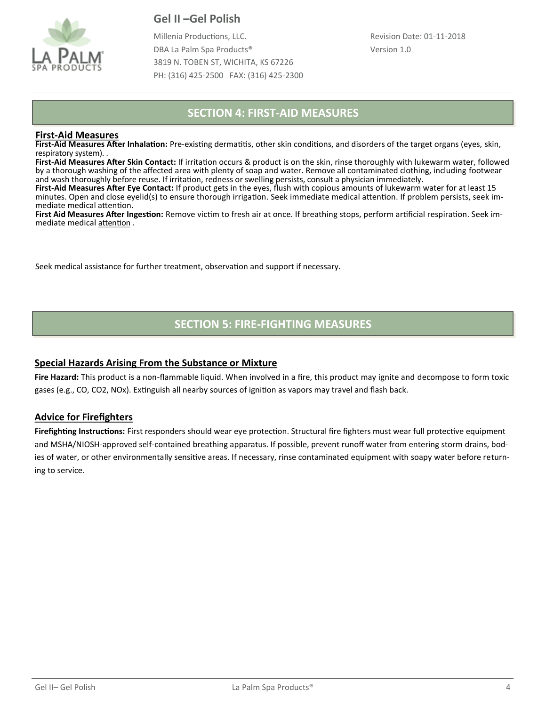

Millenia Productions, LLC. DBA La Palm Spa Products® 3819 N. TOBEN ST, WICHITA, KS 67226 PH: (316) 425-2500 FAX: (316) 425-2300

## **SECTION 4: FIRST-AID MEASURES**

### **First-Aid Measures**

**First-Aid Measures After Inhalation:** Pre-existing dermatitis, other skin conditions, and disorders of the target organs (eyes, skin, respiratory system). .

**First-Aid Measures After Skin Contact:** If irritation occurs & product is on the skin, rinse thoroughly with lukewarm water, followed by a thorough washing of the affected area with plenty of soap and water. Remove all contaminated clothing, including footwear and wash thoroughly before reuse. If irritation, redness or swelling persists, consult a physician immediately.

**First-Aid Measures After Eye Contact:** If product gets in the eyes, flush with copious amounts of lukewarm water for at least 15 minutes. Open and close eyelid(s) to ensure thorough irrigation. Seek immediate medical attention. If problem persists, seek immediate medical attention.

**First Aid Measures After Ingestion:** Remove victim to fresh air at once. If breathing stops, perform artificial respiration. Seek immediate medical attention .

Seek medical assistance for further treatment, observation and support if necessary.

## **SECTION 5: FIRE-FIGHTING MEASURES**

### **Special Hazards Arising From the Substance or Mixture**

**Fire Hazard:** This product is a non-flammable liquid. When involved in a fire, this product may ignite and decompose to form toxic gases (e.g., CO, CO2, NOx). Extinguish all nearby sources of ignition as vapors may travel and flash back.

### **Advice for Firefighters**

**Firefighting Instructions:** First responders should wear eye protection. Structural fire fighters must wear full protective equipment and MSHA/NIOSH-approved self-contained breathing apparatus. If possible, prevent runoff water from entering storm drains, bodies of water, or other environmentally sensitive areas. If necessary, rinse contaminated equipment with soapy water before returning to service.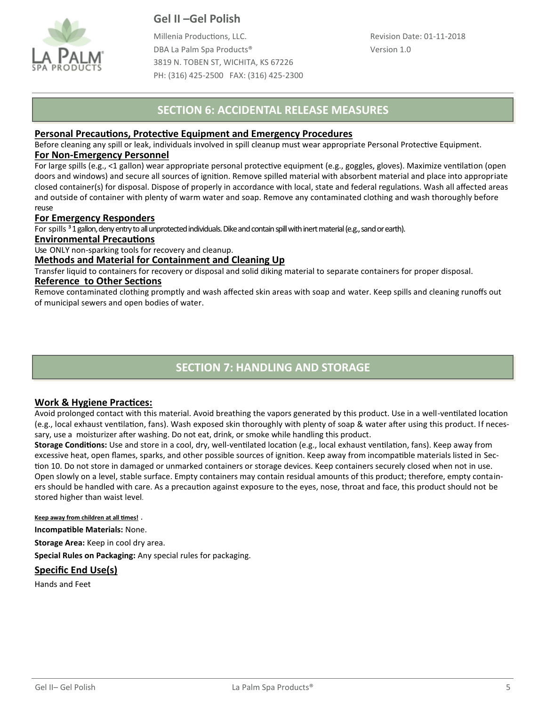

Millenia Productions, LLC. DBA La Palm Spa Products® 3819 N. TOBEN ST, WICHITA, KS 67226 PH: (316) 425-2500 FAX: (316) 425-2300

## **SECTION 6: ACCIDENTAL RELEASE MEASURES**

### **Personal Precautions, Protective Equipment and Emergency Procedures**

Before cleaning any spill or leak, individuals involved in spill cleanup must wear appropriate Personal Protective Equipment. **For Non-Emergency Personnel**

For large spills (e.g., <1 gallon) wear appropriate personal protective equipment (e.g., goggles, gloves). Maximize ventilation (open doors and windows) and secure all sources of ignition. Remove spilled material with absorbent material and place into appropriate closed container(s) for disposal. Dispose of properly in accordance with local, state and federal regulations. Wash all affected areas and outside of container with plenty of warm water and soap. Remove any contaminated clothing and wash thoroughly before reuse

### **For Emergency Responders**

For spills <sup>3</sup> 1 gallon, deny entry to all unprotected individuals. Dike and contain spill with inert material (e.g., sand or earth).

#### **Environmental Precautions**

Use ONLY non-sparking tools for recovery and cleanup.

### **Methods and Material for Containment and Cleaning Up**

Transfer liquid to containers for recovery or disposal and solid diking material to separate containers for proper disposal.

#### **Reference to Other Sections**

Remove contaminated clothing promptly and wash affected skin areas with soap and water. Keep spills and cleaning runoffs out of municipal sewers and open bodies of water.

# **SECTION 7: HANDLING AND STORAGE**

### **Work & Hygiene Practices:**

Avoid prolonged contact with this material. Avoid breathing the vapors generated by this product. Use in a well-ventilated location (e.g., local exhaust ventilation, fans). Wash exposed skin thoroughly with plenty of soap & water after using this product. If necessary, use a moisturizer after washing. Do not eat, drink, or smoke while handling this product.

**Storage Conditions:** Use and store in a cool, dry, well-ventilated location (e.g., local exhaust ventilation, fans). Keep away from excessive heat, open flames, sparks, and other possible sources of ignition. Keep away from incompatible materials listed in Section 10. Do not store in damaged or unmarked containers or storage devices. Keep containers securely closed when not in use. Open slowly on a level, stable surface. Empty containers may contain residual amounts of this product; therefore, empty containers should be handled with care. As a precaution against exposure to the eyes, nose, throat and face, this product should not be stored higher than waist level.

#### **Keep away from children at all times!** .

**Incompatible Materials:** None.

**Storage Area:** Keep in cool dry area.

**Special Rules on Packaging:** Any special rules for packaging.

### **Specific End Use(s)**

Hands and Feet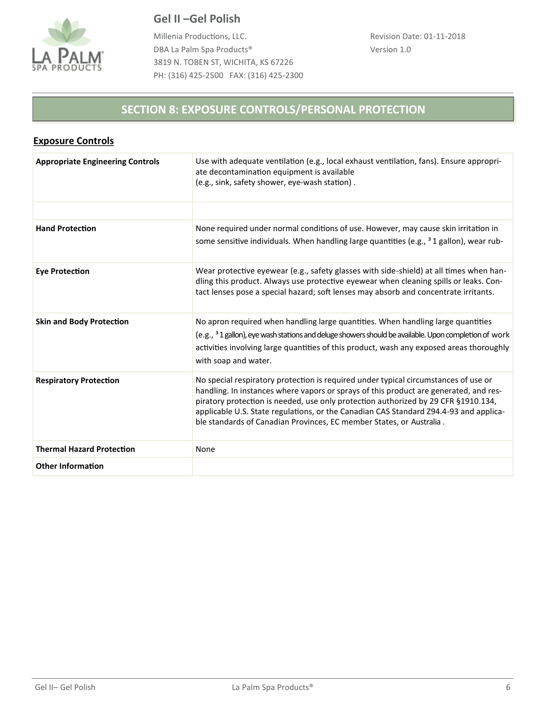

Millenia Productions, LLC. DBA La Palm Spa Products® 3819 N. TOBEN ST, WICHITA, KS 67226 PH: (316) 425-2500 FAX: (316) 425-2300

# **SECTION 8: EXPOSURE CONTROLS/PERSONAL PROTECTION**

| <b>Exposure Controls</b> |
|--------------------------|
|--------------------------|

| <b>Appropriate Engineering Controls</b> | Use with adequate ventilation (e.g., local exhaust ventilation, fans). Ensure appropri-<br>ate decontamination equipment is available<br>(e.g., sink, safety shower, eye-wash station).                                                                                                                                                                                                                                             |
|-----------------------------------------|-------------------------------------------------------------------------------------------------------------------------------------------------------------------------------------------------------------------------------------------------------------------------------------------------------------------------------------------------------------------------------------------------------------------------------------|
|                                         |                                                                                                                                                                                                                                                                                                                                                                                                                                     |
| <b>Hand Protection</b>                  | None required under normal conditions of use. However, may cause skin irritation in<br>some sensitive individuals. When handling large quantities (e.g., $31$ gallon), wear rub-                                                                                                                                                                                                                                                    |
| <b>Eye Protection</b>                   | Wear protective eyewear (e.g., safety glasses with side-shield) at all times when han-<br>dling this product. Always use protective eyewear when cleaning spills or leaks. Con-<br>tact lenses pose a special hazard; soft lenses may absorb and concentrate irritants.                                                                                                                                                             |
| <b>Skin and Body Protection</b>         | No apron required when handling large quantities. When handling large quantities<br>(e.g., <sup>3</sup> 1 gallon), eye wash stations and deluge showers should be available. Upon completion of work<br>activities involving large quantities of this product, wash any exposed areas thoroughly<br>with soap and water.                                                                                                            |
| <b>Respiratory Protection</b>           | No special respiratory protection is required under typical circumstances of use or<br>handling. In instances where vapors or sprays of this product are generated, and res-<br>piratory protection is needed, use only protection authorized by 29 CFR §1910.134,<br>applicable U.S. State regulations, or the Canadian CAS Standard Z94.4-93 and applica-<br>ble standards of Canadian Provinces, EC member States, or Australia. |
| <b>Thermal Hazard Protection</b>        | None                                                                                                                                                                                                                                                                                                                                                                                                                                |
| <b>Other Information</b>                |                                                                                                                                                                                                                                                                                                                                                                                                                                     |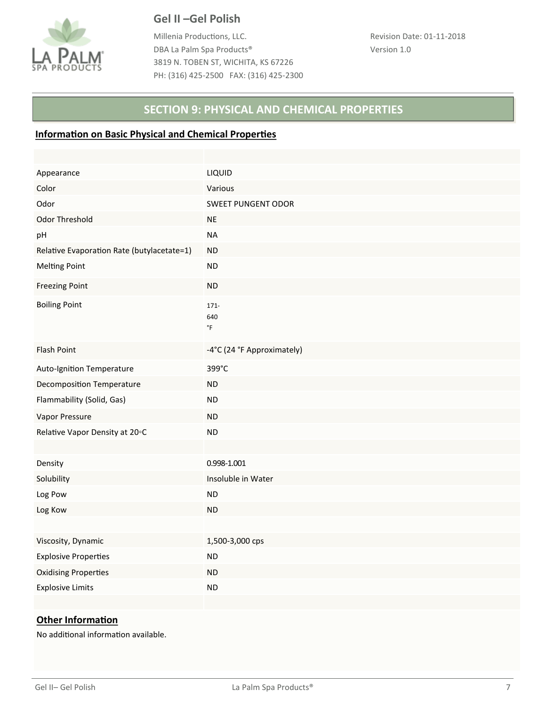

Millenia Productions, LLC. DBA La Palm Spa Products® 3819 N. TOBEN ST, WICHITA, KS 67226 PH: (316) 425-2500 FAX: (316) 425-2300

## **SECTION 9: PHYSICAL AND CHEMICAL PROPERTIES**

### **Information on Basic Physical and Chemical Properties**

| Appearance                                 | LIQUID                                |
|--------------------------------------------|---------------------------------------|
| Color                                      | Various                               |
| Odor                                       | SWEET PUNGENT ODOR                    |
| Odor Threshold                             | <b>NE</b>                             |
| pH                                         | <b>NA</b>                             |
| Relative Evaporation Rate (butylacetate=1) | <b>ND</b>                             |
| <b>Melting Point</b>                       | <b>ND</b>                             |
| <b>Freezing Point</b>                      | ND                                    |
| <b>Boiling Point</b>                       | $171 -$<br>640<br>$^\circ \mathsf{F}$ |
| Flash Point                                | -4°C (24 °F Approximately)            |
| Auto-Ignition Temperature                  | 399°C                                 |
| <b>Decomposition Temperature</b>           | <b>ND</b>                             |
| Flammability (Solid, Gas)                  | <b>ND</b>                             |
| Vapor Pressure                             | <b>ND</b>                             |
| Relative Vapor Density at 20°C             | <b>ND</b>                             |
|                                            |                                       |
| Density                                    | 0.998-1.001                           |
| Solubility                                 | Insoluble in Water                    |
| Log Pow                                    | ${\sf ND}$                            |
| Log Kow                                    | <b>ND</b>                             |
|                                            |                                       |
| Viscosity, Dynamic                         | 1,500-3,000 cps                       |
| <b>Explosive Properties</b>                | <b>ND</b>                             |
| <b>Oxidising Properties</b>                | <b>ND</b>                             |
| <b>Explosive Limits</b>                    | <b>ND</b>                             |
|                                            |                                       |

## **Other Information**

No additional information available.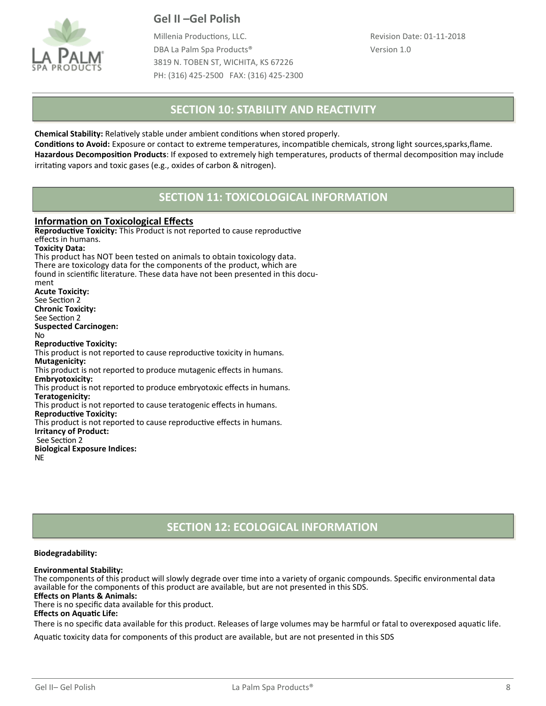

Millenia Productions, LLC. DBA La Palm Spa Products® 3819 N. TOBEN ST, WICHITA, KS 67226 PH: (316) 425-2500 FAX: (316) 425-2300

## **SECTION 10: STABILITY AND REACTIVITY**

**Chemical Stability:** Relatively stable under ambient conditions when stored properly.

**Conditions to Avoid:** Exposure or contact to extreme temperatures, incompatible chemicals, strong light sources,sparks,flame. **Hazardous Decomposition Products**: If exposed to extremely high temperatures, products of thermal decomposition may include irritating vapors and toxic gases (e.g., oxides of carbon & nitrogen).

## **SECTION 11: TOXICOLOGICAL INFORMATION**

### **Information on Toxicological Effects**

**Reproductive Toxicity:** This Product is not reported to cause reproductive effects in humans. **Toxicity Data:**  This product has NOT been tested on animals to obtain toxicology data. There are toxicology data for the components of the product, which are found in scientific literature. These data have not been presented in this document **Acute Toxicity:**  See Section 2 **Chronic Toxicity:**  See Section 2 **Suspected Carcinogen:**  No **Reproductive Toxicity:**  This product is not reported to cause reproductive toxicity in humans. **Mutagenicity:**  This product is not reported to produce mutagenic effects in humans. **Embryotoxicity:**  This product is not reported to produce embryotoxic effects in humans. **Teratogenicity:**  This product is not reported to cause teratogenic effects in humans. **Reproductive Toxicity:**  This product is not reported to cause reproductive effects in humans. **Irritancy of Product:** See Section 2 **Biological Exposure Indices:**  NE

## **SECTION 12: ECOLOGICAL INFORMATION**

#### **Biodegradability:**

#### **Environmental Stability:**

The components of this product will slowly degrade over time into a variety of organic compounds. Specific environmental data available for the components of this product are available, but are not presented in this SDS.

**Effects on Plants & Animals:** 

There is no specific data available for this product.

**Effects on Aquatic Life:** 

There is no specific data available for this product. Releases of large volumes may be harmful or fatal to overexposed aquatic life.

Aquatic toxicity data for components of this product are available, but are not presented in this SDS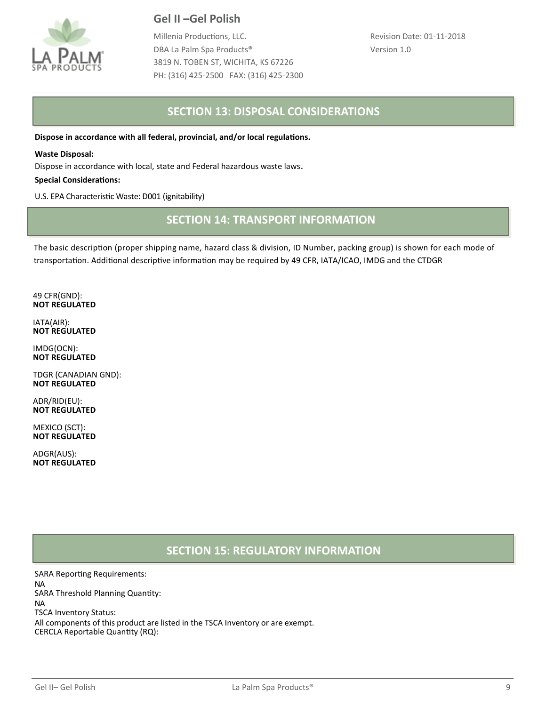

Millenia Productions, LLC. DBA La Palm Spa Products® 3819 N. TOBEN ST, WICHITA, KS 67226 PH: (316) 425-2500 FAX: (316) 425-2300

## **SECTION 13: DISPOSAL CONSIDERATIONS**

**Dispose in accordance with all federal, provincial, and/or local regulations.** 

#### **Waste Disposal:**

Dispose in accordance with local, state and Federal hazardous waste laws.

#### **Special Considerations:**

U.S. EPA Characteristic Waste: D001 (ignitability)

## **SECTION 14: TRANSPORT INFORMATION**

The basic description (proper shipping name, hazard class & division, ID Number, packing group) is shown for each mode of transportation. Additional descriptive information may be required by 49 CFR, IATA/ICAO, IMDG and the CTDGR

49 CFR(GND): **NOT REGULATED**

IATA(AIR): **NOT REGULATED**

IMDG(OCN): **NOT REGULATED**

TDGR (CANADIAN GND): **NOT REGULATED**

ADR/RID(EU): **NOT REGULATED**

MEXICO (SCT): **NOT REGULATED**

ADGR(AUS): **NOT REGULATED**

## **SECTION 15: REGULATORY INFORMATION**

SARA Reporting Requirements: NA SARA Threshold Planning Quantity: NA TSCA Inventory Status: All components of this product are listed in the TSCA Inventory or are exempt. CERCLA Reportable Quantity (RQ):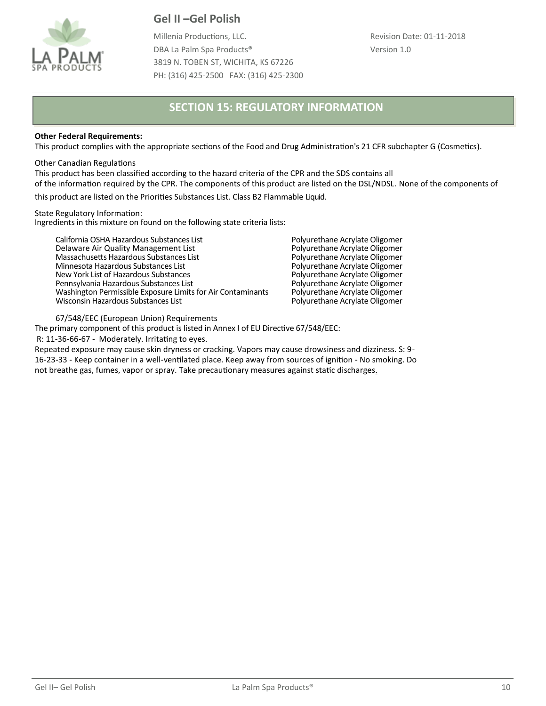

Millenia Productions, LLC. DBA La Palm Spa Products® 3819 N. TOBEN ST, WICHITA, KS 67226 PH: (316) 425-2500 FAX: (316) 425-2300 Revision Date: 01-11-2018 Version 1.0

## **SECTION 15: REGULATORY INFORMATION**

#### **Other Federal Requirements:**

This product complies with the appropriate sections of the Food and Drug Administration's 21 CFR subchapter G (Cosmetics).

#### Other Canadian Regulations

This product has been classified according to the hazard criteria of the CPR and the SDS contains all of the information required by the CPR. The components of this product are listed on the DSL/NDSL. None of the components of

this product are listed on the Priorities Substances List. Class B2 Flammable Liquid.

State Regulatory Information: Ingredients in this mixture on found on the following state criteria lists:

California OSHA Hazardous Substances List **Polyurethane Acrylate Oligomer**<br>
Delaware Air Quality Management List **Polyurethane Acrylate Oligomer** Delaware Air Quality Management List **Polyurethane Acrylate Oligomer**<br>Massachusetts Hazardous Substances List **Polyurethane Acrylate Oligomer** Massachusetts Hazardous Substances List **Polyurethane Acrylate Oligomer**<br>Minnesota Hazardous Substances List **Polyurethane Acrylate Oligomer** Minnesota Hazardous Substances List entitled and the Molyurethane Acrylate Oligomer<br>
New York List of Hazardous Substances entitled and the Polyurethane Acrylate Oligomer New York List of Hazardous Substances and the Substance Polyurethane Acrylate Oligomer<br>Pennsylvania Hazardous Substances List and the Substance Polyurethane Acrylate Oligomer Pennsylvania Hazardous Substances List Franciscom Polyurethane Acrylate Oligomer<br>
Washington Permissible Exposure Limits for Air Contaminants Polyurethane Acrylate Oligomer Washington Permissible Exposure Limits for Air Contaminants Polyurethane Acrylate Oligomer<br>Wisconsin Hazardous Substances List For Air Contaminants Polyurethane Acrylate Oligomer Wisconsin Hazardous Substances List

67/548/EEC (European Union) Requirements

The primary component of this product is listed in Annex I of EU Directive 67/548/EEC:

R: 11-36-66-67 - Moderately. Irritating to eyes.

Repeated exposure may cause skin dryness or cracking. Vapors may cause drowsiness and dizziness. S: 9- 16-23-33 - Keep container in a well-ventilated place. Keep away from sources of ignition - No smoking. Do not breathe gas, fumes, vapor or spray. Take precautionary measures against static discharges**.**